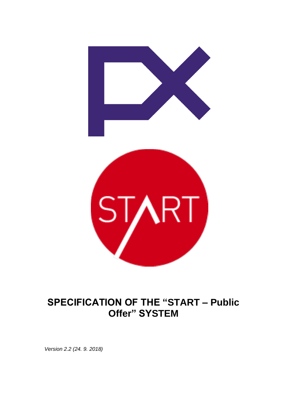

# **SPECIFICATION OF THE "START – Public Offer" SYSTEM**

*Version 2.2 (24. 9. 2018)*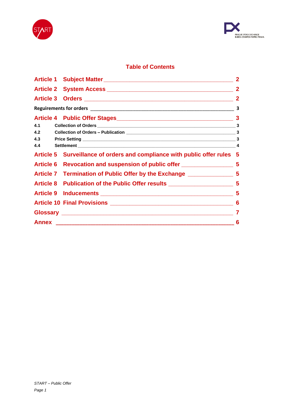



# **Table of Contents**

|     |                                                                           | $\mathbf{2}$   |
|-----|---------------------------------------------------------------------------|----------------|
|     |                                                                           | $\overline{2}$ |
|     |                                                                           | $\overline{2}$ |
|     |                                                                           | 3              |
|     | Article 4 Public Offer Stages<br>13                                       |                |
| 4.1 |                                                                           |                |
| 4.2 |                                                                           |                |
| 4.3 |                                                                           |                |
| 4.4 |                                                                           |                |
|     | Article 5 Surveillance of orders and compliance with public offer rules 5 |                |
|     |                                                                           |                |
|     |                                                                           |                |
|     |                                                                           |                |
|     |                                                                           |                |
|     |                                                                           | 6              |
|     |                                                                           | 7              |
|     |                                                                           | 6              |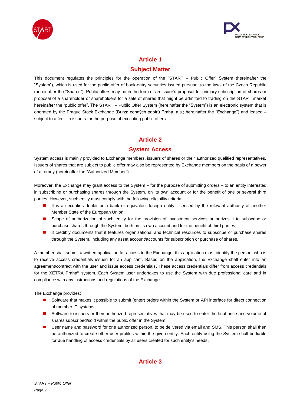



### **Article 1**

# **Subject Matter**

This document regulates the principles for the operation of the "START – Public Offer" System (hereinafter the "System"), which is used for the public offer of book-entry securities issued pursuant to the laws of the Czech Republic (hereinafter the "Shares"). Public offers may be in the form of an issuer's proposal for primary subscription of shares or proposal of a shareholder or shareholders for a sale of shares that might be admitted to trading on the START market hereinafter the "public offer". The START – Public Offer System (hereinafter the "System") is an electronic system that is operated by the Prague Stock Exchange (Burza cenných papírů Praha, a.s.; hereinafter the "Exchange") and leased – subject to a fee - to issuers for the purpose of executing public offers.

# **Article 2**

#### **System Access**

System access is mainly provided to Exchange members, issuers of shares or their authorized qualified representatives. Issuers of shares that are subject to public offer may also be represented by Exchange members on the basis of a power of attorney (hereinafter the "Authorized Member").

Moreover, the Exchange may grant access to the System – for the purpose of submitting orders – to an entity interested in subscribing or purchasing shares through the System, on its own account or for the benefit of one or several third parties. However, such entity must comply with the following eligibility criteria:

- It is a securities dealer or a bank or equivalent foreign entity, licensed by the relevant authority of another Member State of the European Union;
- Scope of authorization of such entity for the provision of investment services authorizes it to subscribe or purchase shares through the System, both on its own account and for the benefit of third parties;
- It credibly documents that it features organizational and technical resources to subscribe or purchase shares through the System, including any asset account/accounts for subscription or purchase of shares.

A member shall submit a written application for access to the Exchange; this application must identify the person, who is to receive access credentials issued for an applicant. Based on the application, the Exchange shall enter into an agreement/contract with the user and issue access credentials. These access credentials differ from access credentials for the XETRA Praha® system. Each System user undertakes to use the System with due professional care and in compliance with any instructions and regulations of the Exchange.

The Exchange provides:

- Software that makes it possible to submit (enter) orders within the System or API interface for direct connection of member IT systems;
- Software to issuers or their authorized representatives that may be used to enter the final price and volume of shares subscribed/sold within the public offer in the System;
- User name and password for one authorized person, to be delivered via email and SMS. This person shall then be authorized to create other user profiles within the given entity. Each entity using the System shall be liable for due handling of access credentials by all users created for such entity's needs.

# **Article 3**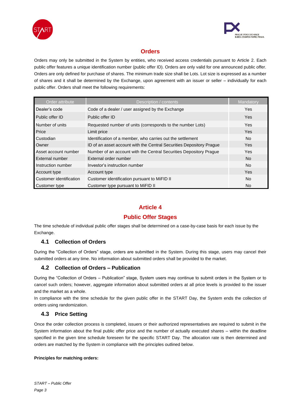



#### **Orders**

Orders may only be submitted in the System by entities, who received access credentials pursuant to Article 2. Each public offer features a unique identification number (public offer ID). Orders are only valid for one announced public offer. Orders are only defined for purchase of shares. The minimum trade size shall be Lots. Lot size is expressed as a number of shares and it shall be determined by the Exchange, upon agreement with an issuer or seller – individually for each public offer. Orders shall meet the following requirements:

| Order attribute         | Description / contents                                               | Mandatory  |
|-------------------------|----------------------------------------------------------------------|------------|
| Dealer's code           | Code of a dealer / user assigned by the Exchange                     | Yes.       |
| Public offer ID         | Public offer ID                                                      | <b>Yes</b> |
| Number of units         | Requested number of units (corresponds to the number Lots)           | Yes.       |
| Price                   | Limit price                                                          | Yes.       |
| Custodian               | Identification of a member, who carries out the settlement           | No.        |
| Owner                   | ID of an asset account with the Central Securities Depository Prague | Yes.       |
| Asset account number    | Number of an account with the Central Securities Depository Prague   | Yes.       |
| External number         | External order number                                                | <b>No</b>  |
| Instruction number      | Investor's instruction number                                        | No.        |
| Account type            | Account type                                                         | <b>Yes</b> |
| Customer identification | Customer identification pursuant to MiFID II                         | No.        |
| Customer type           | Customer type pursuant to MiFID II                                   | No.        |

# **Article 4**

# **Public Offer Stages**

The time schedule of individual public offer stages shall be determined on a case-by-case basis for each issue by the Exchange.

#### **4.1 Collection of Orders**

During the "Collection of Orders" stage, orders are submitted in the System. During this stage, users may cancel their submitted orders at any time. No information about submitted orders shall be provided to the market.

#### **4.2 Collection of Orders – Publication**

During the "Collection of Orders – Publication" stage, System users may continue to submit orders in the System or to cancel such orders; however, aggregate information about submitted orders at all price levels is provided to the issuer and the market as a whole.

In compliance with the time schedule for the given public offer in the START Day, the System ends the collection of orders using randomization.

#### **4.3 Price Setting**

Once the order collection process is completed, issuers or their authorized representatives are required to submit in the System information about the final public offer price and the number of actually executed shares – within the deadline specified in the given time schedule foreseen for the specific START Day. The allocation rate is then determined and orders are matched by the System in compliance with the principles outlined below.

#### **Principles for matching orders:**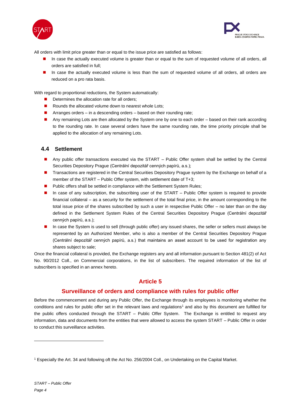



All orders with limit price greater than or equal to the issue price are satisfied as follows:

- In case the actually executed volume is greater than or equal to the sum of requested volume of all orders, all orders are satisfied in full;
- In case the actually executed volume is less than the sum of requested volume of all orders, all orders are reduced on a pro rata basis.

With regard to proportional reductions, the System automatically:

- Determines the allocation rate for all orders:
- Rounds the allocated volume down to nearest whole Lots;
- Arranges orders in a descending orders based on their rounding rate;
- Any remaining Lots are then allocated by the System one by one to each order based on their rank according to the rounding rate. In case several orders have the same rounding rate, the time priority principle shall be applied to the allocation of any remaining Lots.

#### **4.4 Settlement**

- Any public offer transactions executed via the START Public Offer system shall be settled by the Central Securities Depository Prague (Centrální depozitář cenných papírů, a.s.);
- Transactions are registered in the Central Securities Depository Prague system by the Exchange on behalf of a member of the START – Public Offer system, with settlement date of T+3;
- Public offers shall be settled in compliance with the Settlement System Rules;
- In case of any subscription, the subscribing user of the START Public Offer system is required to provide financial collateral – as a security for the settlement of the total final price, in the amount corresponding to the total issue price of the shares subscribed by such a user in respective Public Offer – no later than on the day defined in the Settlement System Rules of the Central Securities Depository Prague (Centrální depozitář cenných papírů, a.s.);
- In case the System is used to sell (through public offer) any issued shares, the seller or sellers must always be represented by an Authorized Member, who is also a member of the Central Securities Depository Prague (Centrální depozitář cenných papírů, a.s.) that maintains an asset account to be used for registration any shares subject to sale;

Once the financial collateral is provided, the Exchange registers any and all information pursuant to Section 481(2) of Act No. 90/2012 Coll., on Commercial corporations, in the list of subscribers. The required information of the list of subscribers is specified in an annex hereto.

#### **Article 5**

#### **Surveillance of orders and compliance with rules for public offer**

Before the commencement and during any Public Offer, the Exchange through its employees is monitoring whether the conditions and rules for public offer set in the relevant laws and regulations<sup>1</sup> and also by this document are fulfilled for the public offers conducted through the START – Public Offer System. The Exchange is entitled to request any information, data and documents from the entities that were allowed to access the system START – Public Offer in order to conduct this surveillance activities.

<sup>1</sup> Especially the Art. 34 and following oft the Act No. 256/2004 Coll., on Undertaking on the Capital Market.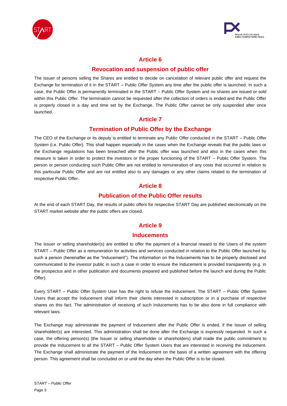



### **Article 6**

#### **Revocation and suspension of public offer**

The issuer of persons selling the Shares are entitled to decide on cancelation of relevant public offer and request the Exchange for termination of it in the START – Public Offer System any time after the public offer is launched. In such a case, the Public Offer is permanently terminated in the START – Public Offer System and no shares are issued or sold within this Public Offer. The termination cannot be requested after the collection of orders is ended and the Public Offer is properly closed in a day and time set by the Exchange. The Public Offer cannot be only suspended after once launched.

#### **Article 7**

#### **Termination of Public Offer by the Exchange**

The CEO of the Exchange or its deputy is entitled to terminate any Public Offer conducted in the START – Public Offer System (i.e. Public Offer). This shall happen especially in the cases when the Exchange reveals that the public laws or the Exchange regulations has been breached after the Public offer was launched and also in the cases when this measure is taken in order to protect the investors or the proper functioning of the START – Public Offer System. The person or person conducting such Public Offer are not entitled to remuneration of any costs that occurred in relation to this particular Public Offer and are not entitled also to any damages or any other claims related to the termination of respective Public Offer.

#### **Article 8**

#### **Publication of the Public Offer results**

At the end of each START Day, the results of public offers for respective START Day are published electronically on the START market website after the public offers are closed.

#### **Article 9**

#### **Inducements**

The Issuer or selling shareholder(s) are entitled to offer the payment of a financial reward to the Users of the system START – Public Offer as a remuneration for activities and services conducted in relation to the Public Offer launched by such a person (hereinafter as the "Inducement"). The information on the Inducements has to be properly disclosed and communicated to the investor public in such a case in order to ensure the Inducement is provided transparently (e.g. in the prospectus and in other publication and documents prepared and published before the launch and during the Public Offer).

Every START – Public Offer System User has the right to refuse the Inducement. The START – Public Offer System Users that accept the Inducement shall inform their clients interested in subscription or in a purchase of respective shares on this fact. The administration of receiving of such Inducements has to be also done in full compliance with relevant laws.

The Exchange may administrate the payment of Inducement after the Public Offer is ended, if the Issuer of selling shareholder(s) are interested. This administration shall be done after the Exchange is expressly requested. In such a case, the offering person(s) (the Issuer or selling shareholder or shareholders) shall made the public commitment to provide the Inducement to all the START – Public Offer System Users that are interested in receiving the Inducement. The Exchange shall administrate the payment of the Inducement on the basis of a written agreement with the offering person. This agreement shall be concluded on or until the day when the Public Offer is to be closed.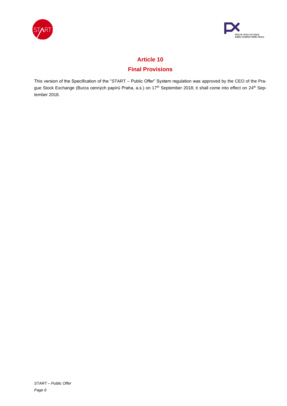



# **Article 10**

# **Final Provisions**

This version of the Specification of the "START – Public Offer" System regulation was approved by the CEO of the Prague Stock Exchange (Burza cenných papírů Praha, a.s.) on 17<sup>th</sup> September 2018; it shall come into effect on 24<sup>th</sup> September 2018.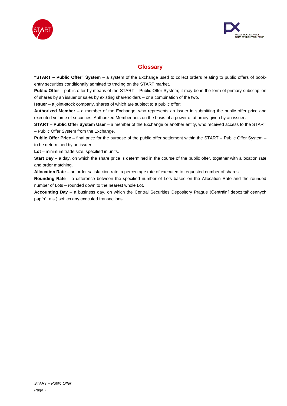



# **Glossary**

**"START – Public Offer" System** – a system of the Exchange used to collect orders relating to public offers of bookentry securities conditionally admitted to trading on the START market.

**Public Offer** – public offer by means of the START – Public Offer System; it may be in the form of primary subscription of shares by an issuer or sales by existing shareholders – or a combination of the two.

**Issuer** – a joint-stock company, shares of which are subject to a public offer;

**Authorized Member** – a member of the Exchange, who represents an issuer in submitting the public offer price and executed volume of securities. Authorized Member acts on the basis of a power of attorney given by an issuer.

**START – Public Offer System User** – a member of the Exchange or another entity, who received access to the START – Public Offer System from the Exchange.

**Public Offer Price** – final price for the purpose of the public offer settlement within the START – Public Offer System – to be determined by an issuer.

**Lot** – minimum trade size, specified in units.

**Start Day** – a day, on which the share price is determined in the course of the public offer, together with allocation rate and order matching.

**Allocation Rate** – an order satisfaction rate; a percentage rate of executed to requested number of shares.

**Rounding Rate** – a difference between the specified number of Lots based on the Allocation Rate and the rounded number of Lots – rounded down to the nearest whole Lot.

**Accounting Day** – a business day, on which the Central Securities Depository Prague (Centrální depozitář cenných papírů, a.s.) settles any executed transactions.